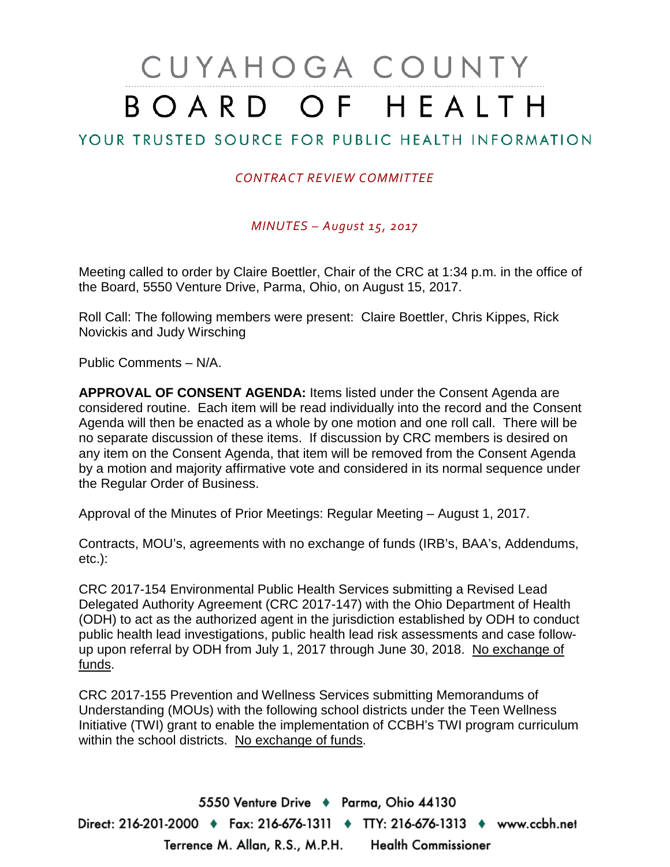# CUYAHOGA COUNTY BOARD OF HEALTH

# YOUR TRUSTED SOURCE FOR PUBLIC HEALTH INFORMATION

#### *CONTRACT REVIEW COMMITTEE*

*MINUTES – August 15, 2017*

Meeting called to order by Claire Boettler, Chair of the CRC at 1:34 p.m. in the office of the Board, 5550 Venture Drive, Parma, Ohio, on August 15, 2017.

Roll Call: The following members were present: Claire Boettler, Chris Kippes, Rick Novickis and Judy Wirsching

Public Comments – N/A.

**APPROVAL OF CONSENT AGENDA:** Items listed under the Consent Agenda are considered routine. Each item will be read individually into the record and the Consent Agenda will then be enacted as a whole by one motion and one roll call. There will be no separate discussion of these items. If discussion by CRC members is desired on any item on the Consent Agenda, that item will be removed from the Consent Agenda by a motion and majority affirmative vote and considered in its normal sequence under the Regular Order of Business.

Approval of the Minutes of Prior Meetings: Regular Meeting – August 1, 2017.

Contracts, MOU's, agreements with no exchange of funds (IRB's, BAA's, Addendums, etc.):

CRC 2017-154 Environmental Public Health Services submitting a Revised Lead Delegated Authority Agreement (CRC 2017-147) with the Ohio Department of Health (ODH) to act as the authorized agent in the jurisdiction established by ODH to conduct public health lead investigations, public health lead risk assessments and case followup upon referral by ODH from July 1, 2017 through June 30, 2018. No exchange of funds.

CRC 2017-155 Prevention and Wellness Services submitting Memorandums of Understanding (MOUs) with the following school districts under the Teen Wellness Initiative (TWI) grant to enable the implementation of CCBH's TWI program curriculum within the school districts. No exchange of funds.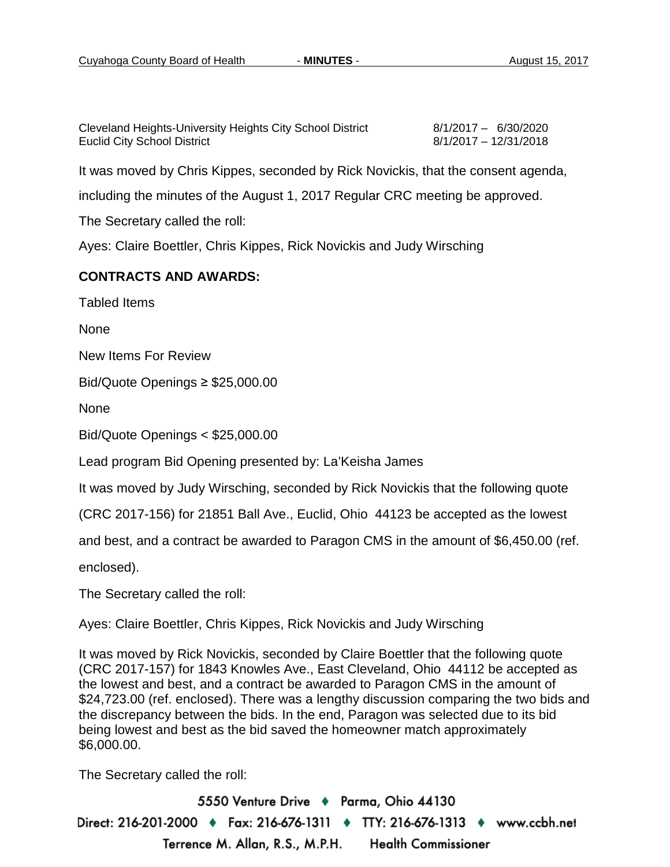| Cleveland Heights-University Heights City School District | 8/1/2017 - 6/30/2020  |
|-----------------------------------------------------------|-----------------------|
| <b>Euclid City School District</b>                        | 8/1/2017 - 12/31/2018 |

It was moved by Chris Kippes, seconded by Rick Novickis, that the consent agenda,

including the minutes of the August 1, 2017 Regular CRC meeting be approved.

The Secretary called the roll:

Ayes: Claire Boettler, Chris Kippes, Rick Novickis and Judy Wirsching

#### **CONTRACTS AND AWARDS:**

Tabled Items

None

New Items For Review

Bid/Quote Openings ≥ \$25,000.00

None

Bid/Quote Openings < \$25,000.00

Lead program Bid Opening presented by: La'Keisha James

It was moved by Judy Wirsching, seconded by Rick Novickis that the following quote

(CRC 2017-156) for 21851 Ball Ave., Euclid, Ohio 44123 be accepted as the lowest

and best, and a contract be awarded to Paragon CMS in the amount of \$6,450.00 (ref.

enclosed).

The Secretary called the roll:

Ayes: Claire Boettler, Chris Kippes, Rick Novickis and Judy Wirsching

It was moved by Rick Novickis, seconded by Claire Boettler that the following quote (CRC 2017-157) for 1843 Knowles Ave., East Cleveland, Ohio 44112 be accepted as the lowest and best, and a contract be awarded to Paragon CMS in the amount of \$24,723.00 (ref. enclosed). There was a lengthy discussion comparing the two bids and the discrepancy between the bids. In the end, Paragon was selected due to its bid being lowest and best as the bid saved the homeowner match approximately \$6,000.00.

The Secretary called the roll: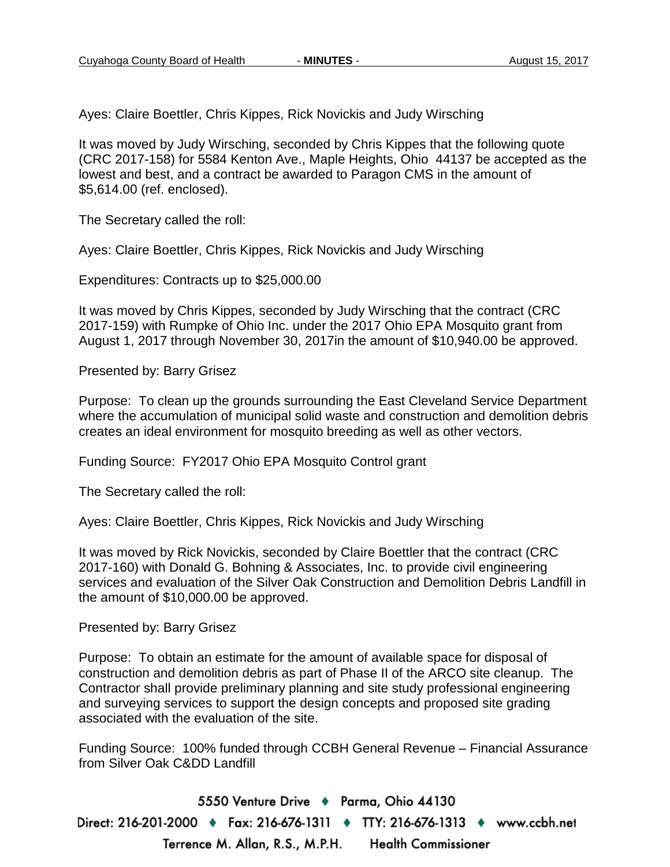Ayes: Claire Boettler, Chris Kippes, Rick Novickis and Judy Wirsching

It was moved by Judy Wirsching, seconded by Chris Kippes that the following quote (CRC 2017-158) for 5584 Kenton Ave., Maple Heights, Ohio 44137 be accepted as the lowest and best, and a contract be awarded to Paragon CMS in the amount of \$5,614.00 (ref. enclosed).

The Secretary called the roll:

Ayes: Claire Boettler, Chris Kippes, Rick Novickis and Judy Wirsching

Expenditures: Contracts up to \$25,000.00

It was moved by Chris Kippes, seconded by Judy Wirsching that the contract (CRC 2017-159) with Rumpke of Ohio Inc. under the 2017 Ohio EPA Mosquito grant from August 1, 2017 through November 30, 2017in the amount of \$10,940.00 be approved.

Presented by: Barry Grisez

Purpose: To clean up the grounds surrounding the East Cleveland Service Department where the accumulation of municipal solid waste and construction and demolition debris creates an ideal environment for mosquito breeding as well as other vectors.

Funding Source: FY2017 Ohio EPA Mosquito Control grant

The Secretary called the roll:

Ayes: Claire Boettler, Chris Kippes, Rick Novickis and Judy Wirsching

It was moved by Rick Novickis, seconded by Claire Boettler that the contract (CRC 2017-160) with Donald G. Bohning & Associates, Inc. to provide civil engineering services and evaluation of the Silver Oak Construction and Demolition Debris Landfill in the amount of \$10,000.00 be approved.

Presented by: Barry Grisez

Purpose: To obtain an estimate for the amount of available space for disposal of construction and demolition debris as part of Phase II of the ARCO site cleanup. The Contractor shall provide preliminary planning and site study professional engineering and surveying services to support the design concepts and proposed site grading associated with the evaluation of the site.

Funding Source: 100% funded through CCBH General Revenue – Financial Assurance from Silver Oak C&DD Landfill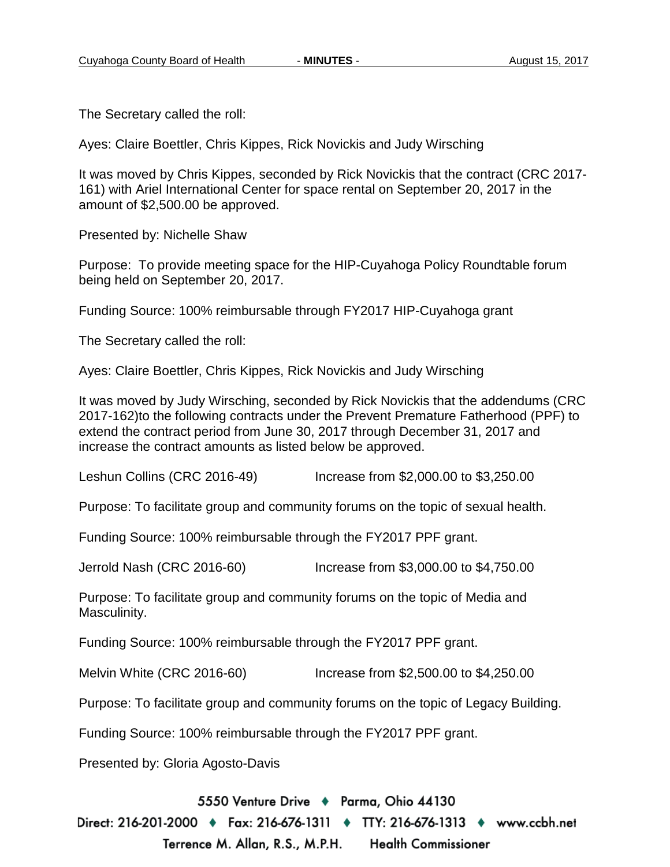The Secretary called the roll:

Ayes: Claire Boettler, Chris Kippes, Rick Novickis and Judy Wirsching

It was moved by Chris Kippes, seconded by Rick Novickis that the contract (CRC 2017- 161) with Ariel International Center for space rental on September 20, 2017 in the amount of \$2,500.00 be approved.

Presented by: Nichelle Shaw

Purpose: To provide meeting space for the HIP-Cuyahoga Policy Roundtable forum being held on September 20, 2017.

Funding Source: 100% reimbursable through FY2017 HIP-Cuyahoga grant

The Secretary called the roll:

Ayes: Claire Boettler, Chris Kippes, Rick Novickis and Judy Wirsching

It was moved by Judy Wirsching, seconded by Rick Novickis that the addendums (CRC 2017-162)to the following contracts under the Prevent Premature Fatherhood (PPF) to extend the contract period from June 30, 2017 through December 31, 2017 and increase the contract amounts as listed below be approved.

Leshun Collins (CRC 2016-49) Increase from \$2,000.00 to \$3,250.00

Purpose: To facilitate group and community forums on the topic of sexual health.

Funding Source: 100% reimbursable through the FY2017 PPF grant.

Jerrold Nash (CRC 2016-60) Increase from \$3,000.00 to \$4,750.00

Purpose: To facilitate group and community forums on the topic of Media and Masculinity.

Funding Source: 100% reimbursable through the FY2017 PPF grant.

Melvin White (CRC 2016-60) Increase from \$2,500.00 to \$4,250.00

Purpose: To facilitate group and community forums on the topic of Legacy Building.

Funding Source: 100% reimbursable through the FY2017 PPF grant.

Presented by: Gloria Agosto-Davis

5550 Venture Drive + Parma, Ohio 44130

Direct: 216-201-2000 ♦ Fax: 216-676-1311 ♦ TTY: 216-676-1313 ♦ www.ccbh.net Terrence M. Allan, R.S., M.P.H. Health Commissioner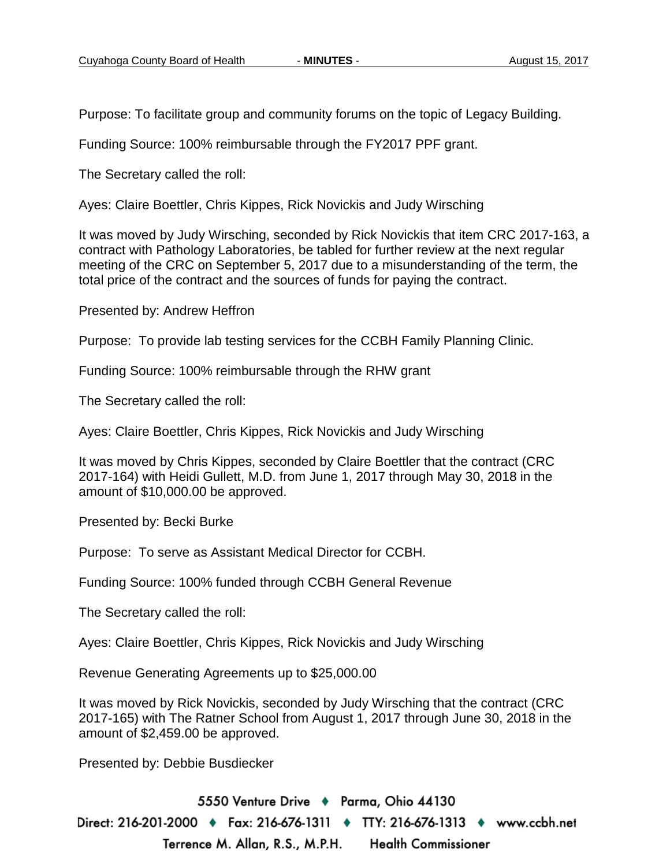Purpose: To facilitate group and community forums on the topic of Legacy Building.

Funding Source: 100% reimbursable through the FY2017 PPF grant.

The Secretary called the roll:

Ayes: Claire Boettler, Chris Kippes, Rick Novickis and Judy Wirsching

It was moved by Judy Wirsching, seconded by Rick Novickis that item CRC 2017-163, a contract with Pathology Laboratories, be tabled for further review at the next regular meeting of the CRC on September 5, 2017 due to a misunderstanding of the term, the total price of the contract and the sources of funds for paying the contract.

Presented by: Andrew Heffron

Purpose: To provide lab testing services for the CCBH Family Planning Clinic.

Funding Source: 100% reimbursable through the RHW grant

The Secretary called the roll:

Ayes: Claire Boettler, Chris Kippes, Rick Novickis and Judy Wirsching

It was moved by Chris Kippes, seconded by Claire Boettler that the contract (CRC 2017-164) with Heidi Gullett, M.D. from June 1, 2017 through May 30, 2018 in the amount of \$10,000.00 be approved.

Presented by: Becki Burke

Purpose: To serve as Assistant Medical Director for CCBH.

Funding Source: 100% funded through CCBH General Revenue

The Secretary called the roll:

Ayes: Claire Boettler, Chris Kippes, Rick Novickis and Judy Wirsching

Revenue Generating Agreements up to \$25,000.00

It was moved by Rick Novickis, seconded by Judy Wirsching that the contract (CRC 2017-165) with The Ratner School from August 1, 2017 through June 30, 2018 in the amount of \$2,459.00 be approved.

Presented by: Debbie Busdiecker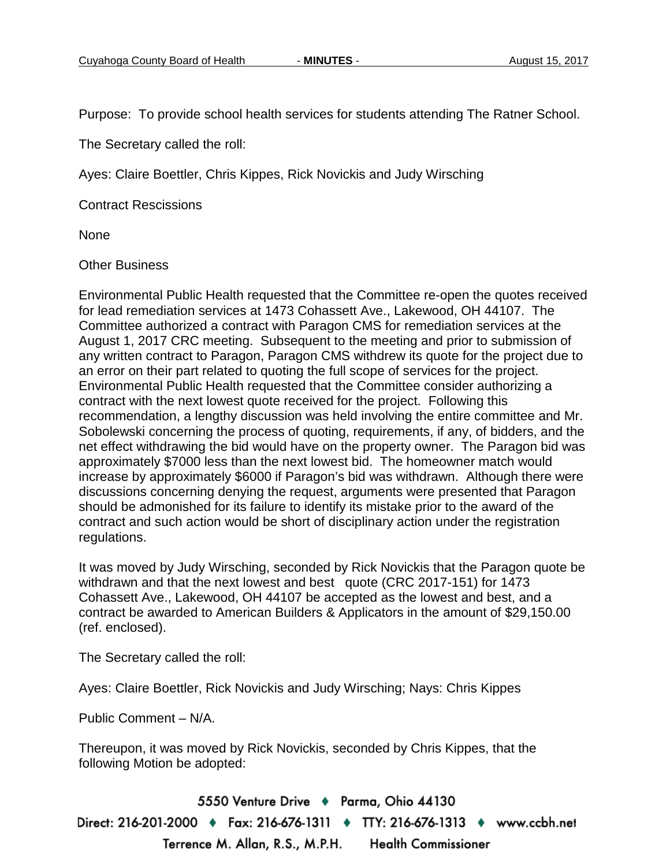Purpose: To provide school health services for students attending The Ratner School.

The Secretary called the roll:

Ayes: Claire Boettler, Chris Kippes, Rick Novickis and Judy Wirsching

Contract Rescissions

None

#### Other Business

Environmental Public Health requested that the Committee re-open the quotes received for lead remediation services at 1473 Cohassett Ave., Lakewood, OH 44107. The Committee authorized a contract with Paragon CMS for remediation services at the August 1, 2017 CRC meeting. Subsequent to the meeting and prior to submission of any written contract to Paragon, Paragon CMS withdrew its quote for the project due to an error on their part related to quoting the full scope of services for the project. Environmental Public Health requested that the Committee consider authorizing a contract with the next lowest quote received for the project. Following this recommendation, a lengthy discussion was held involving the entire committee and Mr. Sobolewski concerning the process of quoting, requirements, if any, of bidders, and the net effect withdrawing the bid would have on the property owner. The Paragon bid was approximately \$7000 less than the next lowest bid. The homeowner match would increase by approximately \$6000 if Paragon's bid was withdrawn. Although there were discussions concerning denying the request, arguments were presented that Paragon should be admonished for its failure to identify its mistake prior to the award of the contract and such action would be short of disciplinary action under the registration regulations.

It was moved by Judy Wirsching, seconded by Rick Novickis that the Paragon quote be withdrawn and that the next lowest and best quote (CRC 2017-151) for 1473 Cohassett Ave., Lakewood, OH 44107 be accepted as the lowest and best, and a contract be awarded to American Builders & Applicators in the amount of \$29,150.00 (ref. enclosed).

The Secretary called the roll:

Ayes: Claire Boettler, Rick Novickis and Judy Wirsching; Nays: Chris Kippes

Public Comment – N/A.

Thereupon, it was moved by Rick Novickis, seconded by Chris Kippes, that the following Motion be adopted: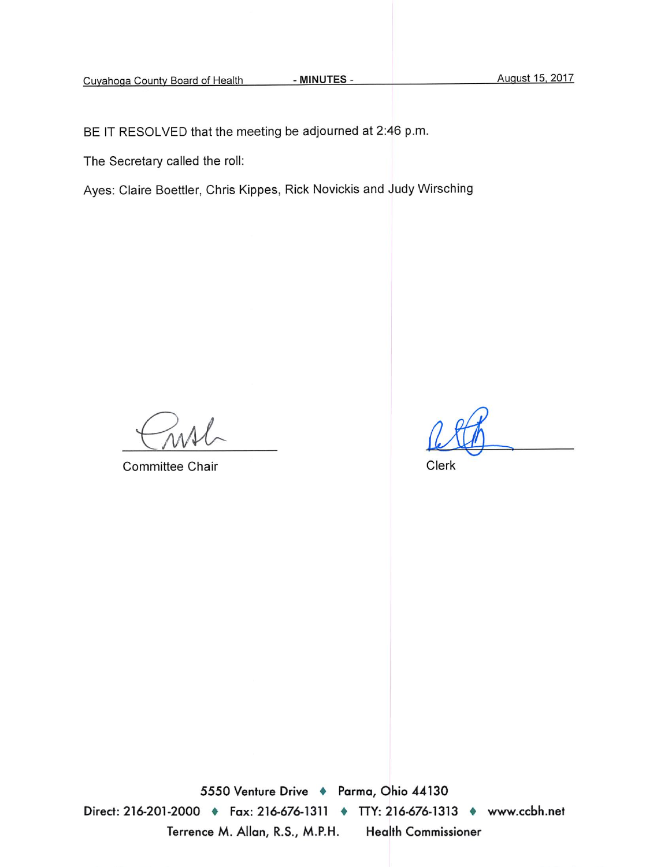BE IT RESOLVED that the meeting be adjourned at 2:46 p.m.

The Secretary called the roll:

Ayes: Claire Boettler, Chris Kippes, Rick Novickis and Judy Wirsching

**Committee Chair** 

Clerk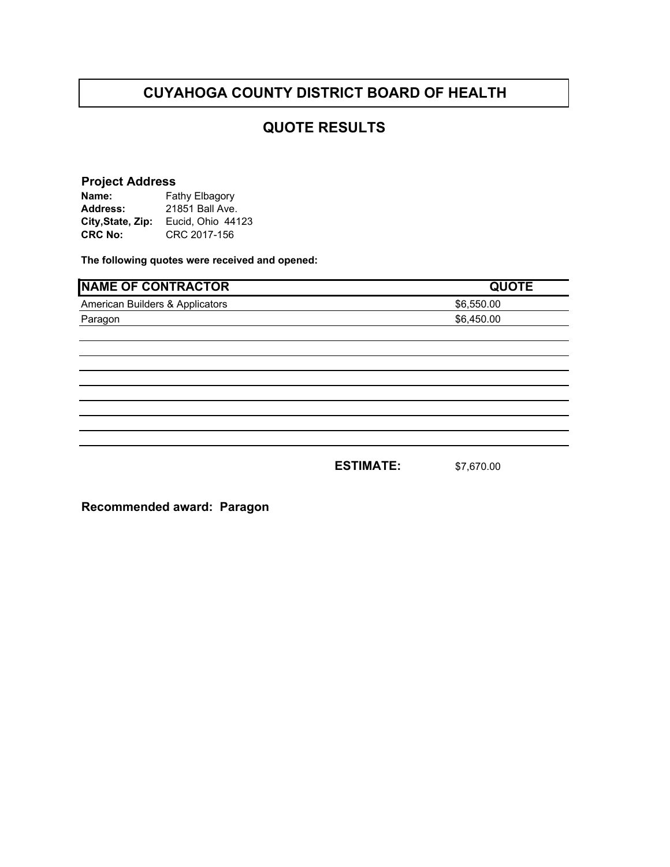### **QUOTE RESULTS**

#### **Project Address**

| Name:             | Fathy Elbagory    |  |
|-------------------|-------------------|--|
| <b>Address:</b>   | 21851 Ball Ave.   |  |
| City, State, Zip: | Eucid, Ohio 44123 |  |
| <b>CRC No:</b>    | CRC 2017-156      |  |

**The following quotes were received and opened:** 

| <b>NAME OF CONTRACTOR</b>       |                  | <b>QUOTE</b> |
|---------------------------------|------------------|--------------|
| American Builders & Applicators |                  | \$6,550.00   |
| Paragon                         |                  | \$6,450.00   |
|                                 |                  |              |
|                                 |                  |              |
|                                 |                  |              |
|                                 |                  |              |
|                                 |                  |              |
|                                 |                  |              |
|                                 |                  |              |
|                                 |                  |              |
|                                 | <b>ESTIMATE:</b> | \$7,670.00   |

**Recommended award: Paragon**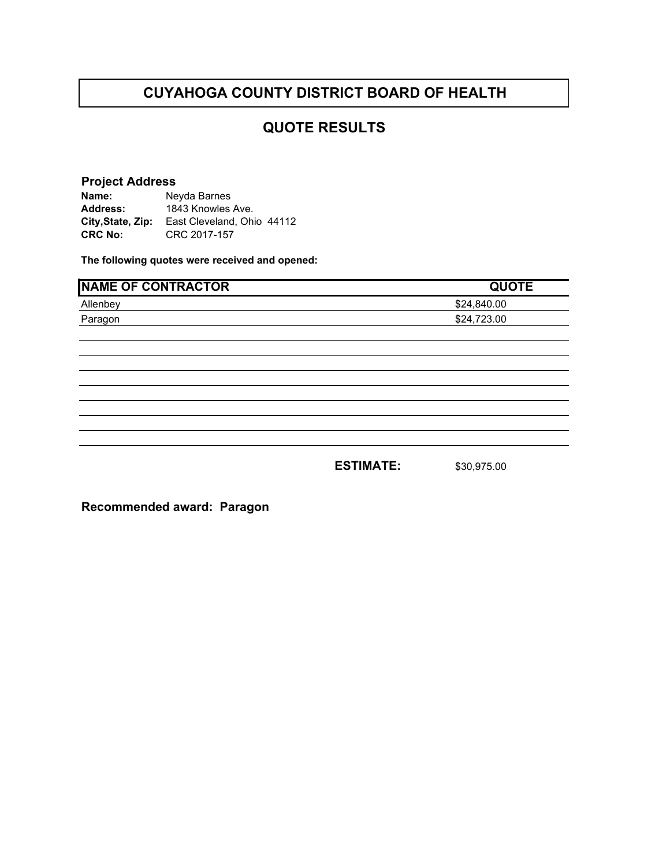## **QUOTE RESULTS**

#### **Project Address**

| Name:             | Neyda Barnes               |
|-------------------|----------------------------|
| <b>Address:</b>   | 1843 Knowles Ave.          |
| City, State, Zip: | East Cleveland, Ohio 44112 |
| <b>CRC No:</b>    | CRC 2017-157               |

**The following quotes were received and opened:** 

| <b>NAME OF CONTRACTOR</b> |                  | <b>QUOTE</b> |
|---------------------------|------------------|--------------|
| Allenbey                  |                  | \$24,840.00  |
| Paragon                   |                  | \$24,723.00  |
|                           |                  |              |
|                           |                  |              |
|                           |                  |              |
|                           |                  |              |
|                           |                  |              |
|                           |                  |              |
|                           |                  |              |
|                           | <b>ESTIMATE:</b> | \$30,975.00  |

**Recommended award: Paragon**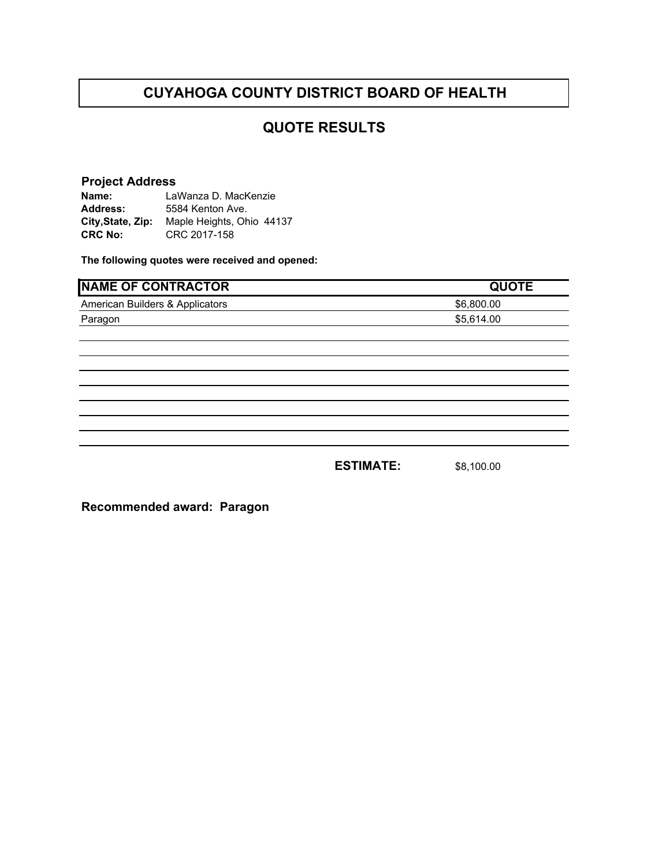# **QUOTE RESULTS**

#### **Project Address**

| Name:             | LaWanza D. MacKenzie      |
|-------------------|---------------------------|
| <b>Address:</b>   | 5584 Kenton Ave.          |
| City, State, Zip: | Maple Heights, Ohio 44137 |
| <b>CRC No:</b>    | CRC 2017-158              |

**The following quotes were received and opened:** 

| <b>NAME OF CONTRACTOR</b>       |                  | <b>QUOTE</b> |
|---------------------------------|------------------|--------------|
| American Builders & Applicators |                  | \$6,800.00   |
| Paragon                         |                  | \$5,614.00   |
|                                 |                  |              |
|                                 |                  |              |
|                                 |                  |              |
|                                 |                  |              |
|                                 |                  |              |
|                                 |                  |              |
|                                 |                  |              |
|                                 | <b>ESTIMATE:</b> | \$8,100.00   |

**Recommended award: Paragon**